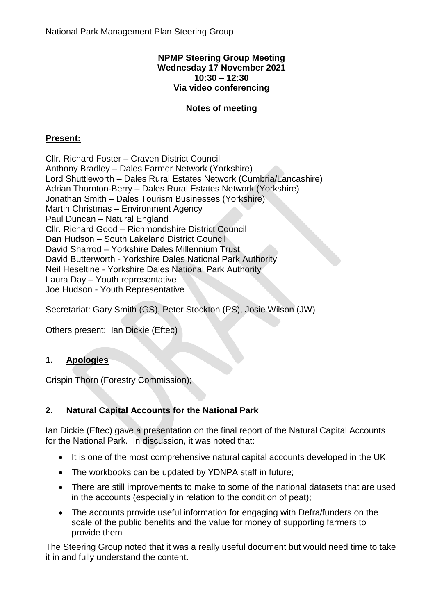#### **NPMP Steering Group Meeting Wednesday 17 November 2021 10:30 – 12:30 Via video conferencing**

# **Notes of meeting**

## **Present:**

Cllr. Richard Foster – Craven District Council Anthony Bradley – Dales Farmer Network (Yorkshire) Lord Shuttleworth – Dales Rural Estates Network (Cumbria/Lancashire) Adrian Thornton-Berry – Dales Rural Estates Network (Yorkshire) Jonathan Smith – Dales Tourism Businesses (Yorkshire) Martin Christmas – Environment Agency Paul Duncan – Natural England Cllr. Richard Good – Richmondshire District Council Dan Hudson – South Lakeland District Council David Sharrod – Yorkshire Dales Millennium Trust David Butterworth - Yorkshire Dales National Park Authority Neil Heseltine - Yorkshire Dales National Park Authority Laura Day – Youth representative Joe Hudson - Youth Representative

Secretariat: Gary Smith (GS), Peter Stockton (PS), Josie Wilson (JW)

Others present: Ian Dickie (Eftec)

## **1. Apologies**

Crispin Thorn (Forestry Commission);

## **2. Natural Capital Accounts for the National Park**

Ian Dickie (Eftec) gave a presentation on the final report of the Natural Capital Accounts for the National Park. In discussion, it was noted that:

- It is one of the most comprehensive natural capital accounts developed in the UK.
- The workbooks can be updated by YDNPA staff in future;
- There are still improvements to make to some of the national datasets that are used in the accounts (especially in relation to the condition of peat);
- The accounts provide useful information for engaging with Defra/funders on the scale of the public benefits and the value for money of supporting farmers to provide them

The Steering Group noted that it was a really useful document but would need time to take it in and fully understand the content.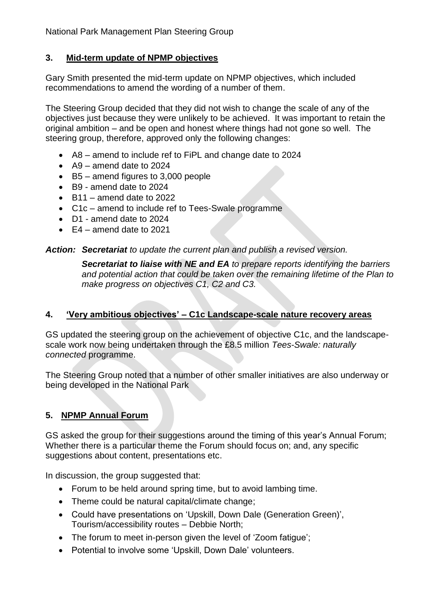# **3. Mid-term update of NPMP objectives**

Gary Smith presented the mid-term update on NPMP objectives, which included recommendations to amend the wording of a number of them.

The Steering Group decided that they did not wish to change the scale of any of the objectives just because they were unlikely to be achieved. It was important to retain the original ambition – and be open and honest where things had not gone so well. The steering group, therefore, approved only the following changes:

- A8 amend to include ref to FiPL and change date to 2024
- $\bullet$  A9 amend date to 2024
- B5 amend figures to 3,000 people
- B9 amend date to 2024
- $-B11$  amend date to 2022
- C1c amend to include ref to Tees-Swale programme
- D1 amend date to 2024
- $\bullet$  E4 amend date to 2021

*Action: Secretariat to update the current plan and publish a revised version.*

*Secretariat to liaise with NE and EA to prepare reports identifying the barriers and potential action that could be taken over the remaining lifetime of the Plan to make progress on objectives C1, C2 and C3.*

#### **4. 'Very ambitious objectives' – C1c Landscape-scale nature recovery areas**

GS updated the steering group on the achievement of objective C1c, and the landscapescale work now being undertaken through the £8.5 million *Tees-Swale: naturally connected* programme.

The Steering Group noted that a number of other smaller initiatives are also underway or being developed in the National Park

## **5. NPMP Annual Forum**

GS asked the group for their suggestions around the timing of this year's Annual Forum; Whether there is a particular theme the Forum should focus on; and, any specific suggestions about content, presentations etc.

In discussion, the group suggested that:

- Forum to be held around spring time, but to avoid lambing time.
- Theme could be natural capital/climate change;
- Could have presentations on 'Upskill, Down Dale (Generation Green)', Tourism/accessibility routes – Debbie North;
- The forum to meet in-person given the level of 'Zoom fatigue';
- Potential to involve some 'Upskill, Down Dale' volunteers.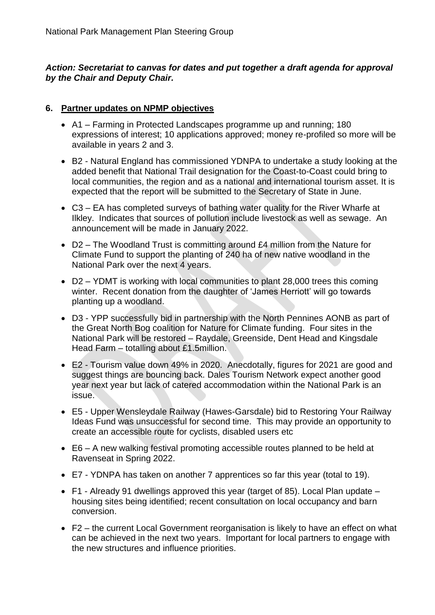### *Action: Secretariat to canvas for dates and put together a draft agenda for approval by the Chair and Deputy Chair.*

#### **6. Partner updates on NPMP objectives**

- A1 Farming in Protected Landscapes programme up and running; 180 expressions of interest; 10 applications approved; money re-profiled so more will be available in years 2 and 3.
- B2 Natural England has commissioned YDNPA to undertake a study looking at the added benefit that National Trail designation for the Coast-to-Coast could bring to local communities, the region and as a national and international tourism asset. It is expected that the report will be submitted to the Secretary of State in June.
- C3 EA has completed surveys of bathing water quality for the River Wharfe at Ilkley. Indicates that sources of pollution include livestock as well as sewage. An announcement will be made in January 2022.
- D2 The Woodland Trust is committing around £4 million from the Nature for Climate Fund to support the planting of 240 ha of new native woodland in the National Park over the next 4 years.
- D2 YDMT is working with local communities to plant 28,000 trees this coming winter. Recent donation from the daughter of 'James Herriott' will go towards planting up a woodland.
- D3 YPP successfully bid in partnership with the North Pennines AONB as part of the Great North Bog coalition for Nature for Climate funding. Four sites in the National Park will be restored – Raydale, Greenside, Dent Head and Kingsdale Head Farm – totalling about £1.5million.
- E2 Tourism value down 49% in 2020. Anecdotally, figures for 2021 are good and suggest things are bouncing back. Dales Tourism Network expect another good year next year but lack of catered accommodation within the National Park is an issue.
- E5 Upper Wensleydale Railway (Hawes-Garsdale) bid to Restoring Your Railway Ideas Fund was unsuccessful for second time. This may provide an opportunity to create an accessible route for cyclists, disabled users etc
- E6 A new walking festival promoting accessible routes planned to be held at Ravenseat in Spring 2022.
- E7 YDNPA has taken on another 7 apprentices so far this year (total to 19).
- F1 Already 91 dwellings approved this year (target of 85). Local Plan update housing sites being identified; recent consultation on local occupancy and barn conversion.
- F2 the current Local Government reorganisation is likely to have an effect on what can be achieved in the next two years. Important for local partners to engage with the new structures and influence priorities.